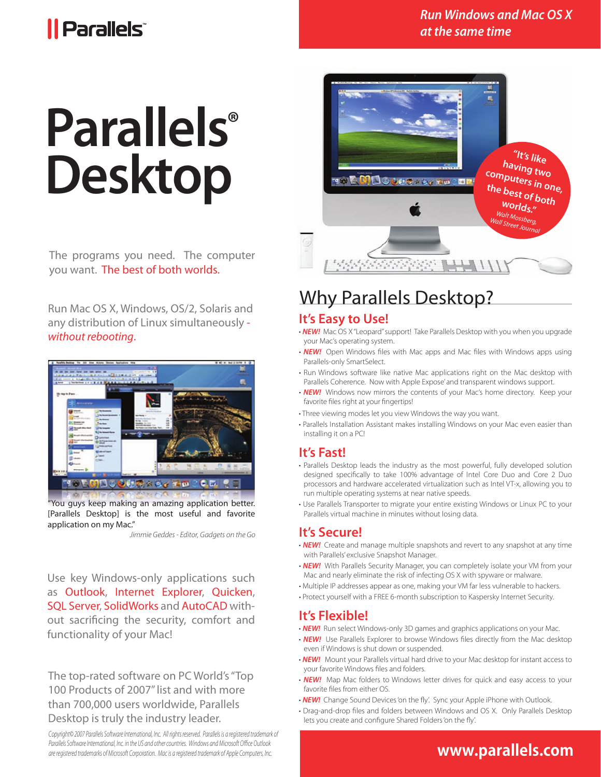# *Il Parallels*

### *Run Windows and Mac OS X at the same time*

# **Parallels ® Desktop**

The programs you need. The computer you want. The best of both worlds.

Run Mac OS X, Windows, OS/2, Solaris and any distribution of Linux simultaneously *without rebooting*.



"You guys keep making an amazing application better. [Parallels Desktop] is the most useful and favorite application on my Mac."

*Jimmie Geddes - Editor, Gadgets on the Go*

Use key Windows-only applications such as Outlook, Internet Explorer, Quicken, SQL Server, SolidWorks and AutoCAD without sacrificing the security, comfort and functionality of your Mac!

The top-rated software on PC World's "Top 100 Products of 2007" list and with more than 700,000 users worldwide, Parallels Desktop is truly the industry leader.

*Copyright© 2007 Parallels Software International, Inc. All rights reserved. Parallels is a registered trademark of* Parallels Software International, Inc. in the US and other countries. Windows and Microsoft Office Outlook *are registered trademarks of Microsoft Corporation. Mac is a registered trademark of Apple Computers, Inc.*



# Why Parallels Desktop?

### **It's Easy to Use!**

- *NEW!* Mac OS X "Leopard" support! Take Parallels Desktop with you when you upgrade your Mac's operating system.
- **NEW!** Open Windows files with Mac apps and Mac files with Windows apps using Parallels-only SmartSelect.
- Run Windows software like native Mac applications right on the Mac desktop with Parallels Coherence. Now with Apple Expose' and transparent windows support.
- **NEW!** Windows now mirrors the contents of your Mac's home directory. Keep your favorite files right at your fingertips!
- Three viewing modes let you view Windows the way you want.
- Parallels Installation Assistant makes installing Windows on your Mac even easier than installing it on a PC!

### **It's Fast!**

- Parallels Desktop leads the industry as the most powerful, fully developed solution designed specifically to take 100% advantage of Intel Core Duo and Core 2 Duo processors and hardware accelerated virtualization such as Intel VT-x, allowing you to run multiple operating systems at near native speeds.
- Use Parallels Transporter to migrate your entire existing Windows or Linux PC to your Parallels virtual machine in minutes without losing data.

### **It's Secure!**

- *NEW!* Create and manage multiple snapshots and revert to any snapshot at any time with Parallels' exclusive Snapshot Manager.
- *NEW!* With Parallels Security Manager, you can completely isolate your VM from your Mac and nearly eliminate the risk of infecting OS X with spyware or malware.
- Multiple IP addresses appear as one, making your VM far less vulnerable to hackers.
- Protect yourself with a FREE 6-month subscription to Kaspersky Internet Security.

### **It's Flexible!**

- **NEW!** Run select Windows-only 3D games and graphics applications on your Mac.
- **NEW!** Use Parallels Explorer to browse Windows files directly from the Mac desktop even if Windows is shut down or suspended.
- *NEW!* Mount your Parallels virtual hard drive to your Mac desktop for instant access to your favorite Windows files and folders.
- **NEW!** Map Mac folders to Windows letter drives for quick and easy access to your favorite files from either OS.
- **NEW!** Change Sound Devices 'on the fly'. Sync your Apple iPhone with Outlook.
- Drag-and-drop files and folders between Windows and OS X. Only Parallels Desktop lets you create and configure Shared Folders 'on the fly'.

## **www.parallels.com**